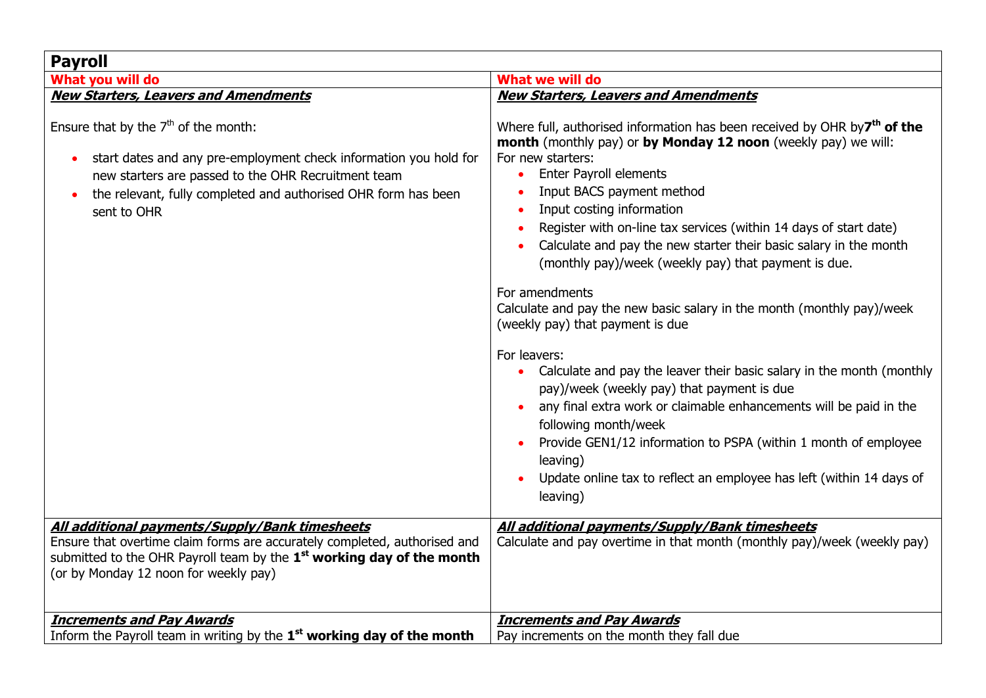| <b>Payroll</b>                                                                                                                                                                                                                                            |                                                                                                                                                                                                                                                                                                                                                                                                                                                                                                                                                                                                                                                                                                                                                                                                                                                                                                                                                                                                                  |
|-----------------------------------------------------------------------------------------------------------------------------------------------------------------------------------------------------------------------------------------------------------|------------------------------------------------------------------------------------------------------------------------------------------------------------------------------------------------------------------------------------------------------------------------------------------------------------------------------------------------------------------------------------------------------------------------------------------------------------------------------------------------------------------------------------------------------------------------------------------------------------------------------------------------------------------------------------------------------------------------------------------------------------------------------------------------------------------------------------------------------------------------------------------------------------------------------------------------------------------------------------------------------------------|
| What you will do                                                                                                                                                                                                                                          | What we will do                                                                                                                                                                                                                                                                                                                                                                                                                                                                                                                                                                                                                                                                                                                                                                                                                                                                                                                                                                                                  |
| <b>New Starters, Leavers and Amendments</b>                                                                                                                                                                                                               | <b>New Starters, Leavers and Amendments</b>                                                                                                                                                                                                                                                                                                                                                                                                                                                                                                                                                                                                                                                                                                                                                                                                                                                                                                                                                                      |
| Ensure that by the $7th$ of the month:<br>start dates and any pre-employment check information you hold for<br>new starters are passed to the OHR Recruitment team<br>the relevant, fully completed and authorised OHR form has been<br>sent to OHR       | Where full, authorised information has been received by OHR by7 <sup>th</sup> of the<br>month (monthly pay) or by Monday 12 noon (weekly pay) we will:<br>For new starters:<br><b>Enter Payroll elements</b><br>Input BACS payment method<br>Input costing information<br>Register with on-line tax services (within 14 days of start date)<br>Calculate and pay the new starter their basic salary in the month<br>(monthly pay)/week (weekly pay) that payment is due.<br>For amendments<br>Calculate and pay the new basic salary in the month (monthly pay)/week<br>(weekly pay) that payment is due<br>For leavers:<br>Calculate and pay the leaver their basic salary in the month (monthly<br>pay)/week (weekly pay) that payment is due<br>any final extra work or claimable enhancements will be paid in the<br>following month/week<br>Provide GEN1/12 information to PSPA (within 1 month of employee<br>leaving)<br>Update online tax to reflect an employee has left (within 14 days of<br>leaving) |
| All additional payments/Supply/Bank timesheets<br>Ensure that overtime claim forms are accurately completed, authorised and<br>submitted to the OHR Payroll team by the 1 <sup>st</sup> working day of the month<br>(or by Monday 12 noon for weekly pay) | <b>All additional payments/Supply/Bank timesheets</b><br>Calculate and pay overtime in that month (monthly pay)/week (weekly pay)                                                                                                                                                                                                                                                                                                                                                                                                                                                                                                                                                                                                                                                                                                                                                                                                                                                                                |
| <b>Increments and Pay Awards</b><br>Inform the Payroll team in writing by the 1 <sup>st</sup> working day of the month                                                                                                                                    | <b>Increments and Pay Awards</b><br>Pay increments on the month they fall due                                                                                                                                                                                                                                                                                                                                                                                                                                                                                                                                                                                                                                                                                                                                                                                                                                                                                                                                    |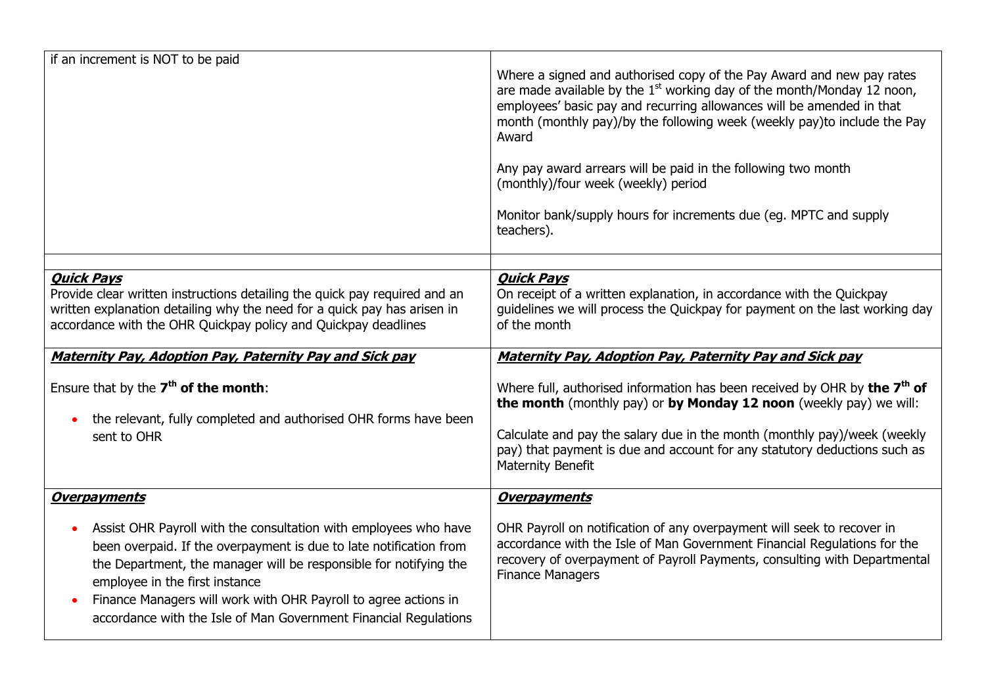| if an increment is NOT to be paid                                                                                                                                                                                                                                                                                                                                                                                                            | Where a signed and authorised copy of the Pay Award and new pay rates<br>are made available by the $1st$ working day of the month/Monday 12 noon,<br>employees' basic pay and recurring allowances will be amended in that<br>month (monthly pay)/by the following week (weekly pay)to include the Pay<br>Award<br>Any pay award arrears will be paid in the following two month<br>(monthly)/four week (weekly) period<br>Monitor bank/supply hours for increments due (eg. MPTC and supply<br>teachers).                                                                                                     |
|----------------------------------------------------------------------------------------------------------------------------------------------------------------------------------------------------------------------------------------------------------------------------------------------------------------------------------------------------------------------------------------------------------------------------------------------|----------------------------------------------------------------------------------------------------------------------------------------------------------------------------------------------------------------------------------------------------------------------------------------------------------------------------------------------------------------------------------------------------------------------------------------------------------------------------------------------------------------------------------------------------------------------------------------------------------------|
| <b>Quick Pays</b><br>Provide clear written instructions detailing the quick pay required and an<br>written explanation detailing why the need for a quick pay has arisen in<br>accordance with the OHR Quickpay policy and Quickpay deadlines<br><b>Maternity Pay, Adoption Pay, Paternity Pay and Sick pay</b><br>Ensure that by the $7th$ of the month:<br>the relevant, fully completed and authorised OHR forms have been<br>sent to OHR | <b>Quick Pays</b><br>On receipt of a written explanation, in accordance with the Quickpay<br>guidelines we will process the Quickpay for payment on the last working day<br>of the month<br><b>Maternity Pay, Adoption Pay, Paternity Pay and Sick pay</b><br>Where full, authorised information has been received by OHR by the 7 <sup>th</sup> of<br>the month (monthly pay) or by Monday 12 noon (weekly pay) we will:<br>Calculate and pay the salary due in the month (monthly pay)/week (weekly<br>pay) that payment is due and account for any statutory deductions such as<br><b>Maternity Benefit</b> |
| <b>Overpayments</b><br>Assist OHR Payroll with the consultation with employees who have<br>been overpaid. If the overpayment is due to late notification from<br>the Department, the manager will be responsible for notifying the<br>employee in the first instance<br>Finance Managers will work with OHR Payroll to agree actions in<br>accordance with the Isle of Man Government Financial Regulations                                  | <b>Overpayments</b><br>OHR Payroll on notification of any overpayment will seek to recover in<br>accordance with the Isle of Man Government Financial Regulations for the<br>recovery of overpayment of Payroll Payments, consulting with Departmental<br><b>Finance Managers</b>                                                                                                                                                                                                                                                                                                                              |